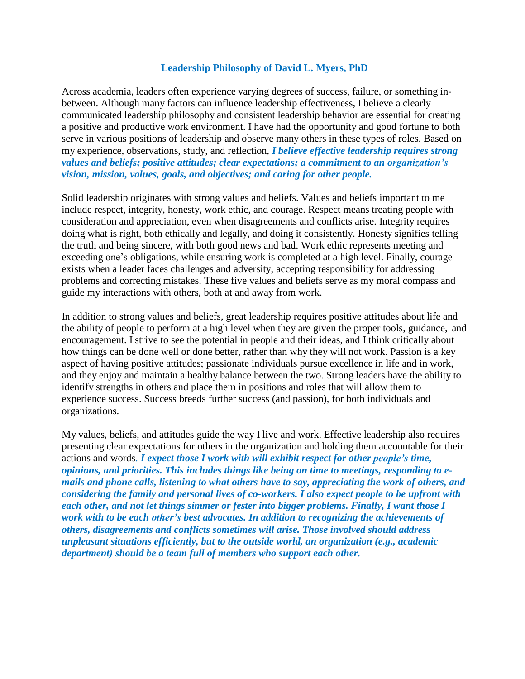## **Leadership Philosophy of David L. Myers, PhD**

Across academia, leaders often experience varying degrees of success, failure, or something inbetween. Although many factors can influence leadership effectiveness, I believe a clearly communicated leadership philosophy and consistent leadership behavior are essential for creating a positive and productive work environment. I have had the opportunity and good fortune to both serve in various positions of leadership and observe many others in these types of roles. Based on my experience, observations, study, and reflection, *I believe effective leadership requires strong values and beliefs; positive attitudes; clear expectations; a commitment to an organization's vision, mission, values, goals, and objectives; and caring for other people.*

Solid leadership originates with strong values and beliefs. Values and beliefs important to me include respect, integrity, honesty, work ethic, and courage. Respect means treating people with consideration and appreciation, even when disagreements and conflicts arise. Integrity requires doing what is right, both ethically and legally, and doing it consistently. Honesty signifies telling the truth and being sincere, with both good news and bad. Work ethic represents meeting and exceeding one's obligations, while ensuring work is completed at a high level. Finally, courage exists when a leader faces challenges and adversity, accepting responsibility for addressing problems and correcting mistakes. These five values and beliefs serve as my moral compass and guide my interactions with others, both at and away from work.

In addition to strong values and beliefs, great leadership requires positive attitudes about life and the ability of people to perform at a high level when they are given the proper tools, guidance, and encouragement. I strive to see the potential in people and their ideas, and I think critically about how things can be done well or done better, rather than why they will not work. Passion is a key aspect of having positive attitudes; passionate individuals pursue excellence in life and in work, and they enjoy and maintain a healthy balance between the two. Strong leaders have the ability to identify strengths in others and place them in positions and roles that will allow them to experience success. Success breeds further success (and passion), for both individuals and organizations.

My values, beliefs, and attitudes guide the way I live and work. Effective leadership also requires presenting clear expectations for others in the organization and holding them accountable for their actions and words. *I expect those I work with will exhibit respect for other people's time, opinions, and priorities. This includes things like being on time to meetings, responding to emails and phone calls, listening to what others have to say, appreciating the work of others, and considering the family and personal lives of co-workers. I also expect people to be upfront with each other, and not let things simmer or fester into bigger problems. Finally, I want those I work with to be each other's best advocates. In addition to recognizing the achievements of others, disagreements and conflicts sometimes will arise. Those involved should address unpleasant situations efficiently, but to the outside world, an organization (e.g., academic department) should be a team full of members who support each other.*